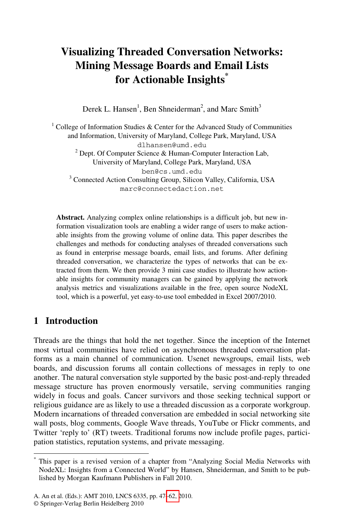# **Visualizing Threaded Conversation Networks: Mining Message Boards and Email Lists for Actionable Insights\***

Derek L. Hansen<sup>1</sup>, Ben Shneiderman<sup>2</sup>, and Marc Smith<sup>3</sup>

<sup>1</sup> College of Information Studies & Center for the Advanced Study of Communities and Information, University of Maryland, College Park, Maryland, USA dlhansen@umd.edu <sup>2</sup> Dept. Of Computer Science & Human-Computer Interaction Lab, University of Maryland, College Park, Maryland, USA ben@cs.umd.edu <sup>3</sup> Connected Action Consulting Group, Silicon Valley, California, USA marc@connectedaction.net

**Abstract.** Analyzing complex online relationships is a difficult job, but new information visualization tools are enabling a wider range of users to make actionable insights from the growing volume of online data. This paper describes the challenges and methods for conducting analyses of threaded conversations such as found in enterprise message boards, email lists, and forums. After defining threaded conversation, we characterize the types of networks that can be extracted from them. We then provide 3 mini case studies to illustrate how actionable insights for community managers can be gained by applying the network analysis metrics and visualizations available in the free, open source NodeXL tool, which is a powerful, yet easy-to-use tool embedded in Excel 2007/2010.

# **1 Introduction**

j

Threads are the things that hold the net together. Since the inception of the Internet most virtual communities have relied on asynchronous threaded conversation platforms as a main channel of communication. Usenet newsgroups, email lists, web boards, and discussion forums all contain collections of messages in reply to one another. The natural conversation style supported by the basic post-and-reply threaded message structure has proven enormously versatile, serving communities ranging widely in focus and goals. Cancer survivors and those seeking technical support or religious guidance are as likely to use a threaded discussion as a corporate workgroup. Modern incarnations of threaded conversation are embedded in social networking site wall posts, blog co[mmen](#page-15-0)ts, Google Wave threads, YouTube or Flickr comments, and Twitter 'reply to' (RT) tweets. Traditional forums now include profile pages, participation statistics, reputation systems, and private messaging.

<sup>\*</sup> This paper is a revised version of a chapter from "Analyzing Social Media Networks with NodeXL: Insights from a Connected World" by Hansen, Shneiderman, and Smith to be published by Morgan Kaufmann Publishers in Fall 2010.

A. An et al. (Eds.): AMT 2010, LNCS 6335, pp. 47–62, 2010.

<sup>©</sup> Springer-Verlag Berlin Heidelberg 2010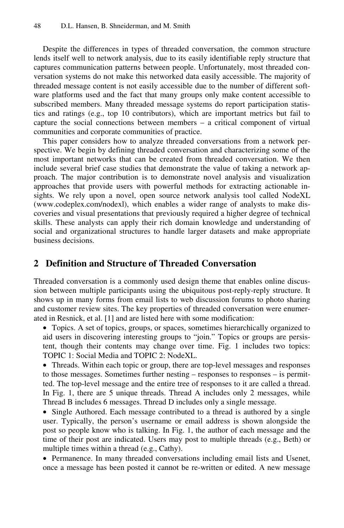Despite the differences in types of threaded conversation, the common structure lends itself well to network analysis, due to its easily identifiable reply structure that captures communication patterns between people. Unfortunately, most threaded conversation systems do not make this networked data easily accessible. The majority of threaded message content is not easily accessible due to the number of different software platforms used and the fact that many groups only make content accessible to subscribed members. Many threaded message systems do report participation statistics and ratings (e.g., top 10 contributors), which are important metrics but fail to capture the social connections between members – a critical component of virtual communities and corporate communities of practice.

This paper considers how to analyze threaded conversations from a network perspective. We begin by defining threaded conversation and characterizing some of the most important networks that can be created from threaded conversation. We then include several brief case studies that demonstrate the value of taking a network approach. The major contribution is to demonstrate novel analysis and visualization approaches that provide users with powerful methods for extracting actionable insights. We rely upon a novel, open source network analysis tool called NodeXL (www.codeplex.com/nodexl), which enables a wider range of analysts to make discoveries and visual presentations that previously required a higher degree of technical skills. These analysts can apply their rich domain knowledge and understanding of social and organizational structures to handle larger datasets and make appropriate business decisions.

### **2 Definition and Structure of Threaded Conversation**

Threaded conversation is a commonly used design theme that enables online discussion between multiple participants using the ubiquitous post-reply-reply structure. It shows up in many forms from email lists to web discussion forums to photo sharing and customer review sites. The key properties of threaded conversation were enumerated in Resnick, et al. [1] and are listed here with some modification:

• Topics. A set of topics, groups, or spaces, sometimes hierarchically organized to aid users in discovering interesting groups to "join." Topics or groups are persistent, though their contents may change over time. Fig. 1 includes two topics: TOPIC 1: Social Media and TOPIC 2: NodeXL.

• Threads. Within each topic or group, there are top-level messages and responses to those messages. Sometimes further nesting – responses to responses – is permitted. The top-level message and the entire tree of responses to it are called a thread. In Fig. 1, there are 5 unique threads. Thread A includes only 2 messages, while Thread B includes 6 messages. Thread D includes only a single message.

• Single Authored. Each message contributed to a thread is authored by a single user. Typically, the person's username or email address is shown alongside the post so people know who is talking. In Fig. 1, the author of each message and the time of their post are indicated. Users may post to multiple threads (e.g., Beth) or multiple times within a thread (e.g., Cathy).

• Permanence. In many threaded conversations including email lists and Usenet, once a message has been posted it cannot be re-written or edited. A new message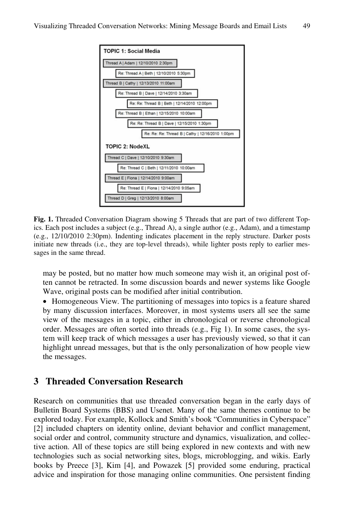

**Fig. 1.** Threaded Conversation Diagram showing 5 Threads that are part of two different Topics. Each post includes a subject (e.g., Thread A), a single author (e.g., Adam), and a timestamp (e.g., 12/10/2010 2:30pm). Indenting indicates placement in the reply structure. Darker posts initiate new threads (i.e., they are top-level threads), while lighter posts reply to earlier messages in the same thread.

may be posted, but no matter how much someone may wish it, an original post often cannot be retracted. In some discussion boards and newer systems like Google Wave, original posts can be modified after initial contribution.

• Homogeneous View. The partitioning of messages into topics is a feature shared by many discussion interfaces. Moreover, in most systems users all see the same view of the messages in a topic, either in chronological or reverse chronological order. Messages are often sorted into threads (e.g., Fig 1). In some cases, the system will keep track of which messages a user has previously viewed, so that it can highlight unread messages, but that is the only personalization of how people view the messages.

# **3 Threaded Conversation Research**

Research on communities that use threaded conversation began in the early days of Bulletin Board Systems (BBS) and Usenet. Many of the same themes continue to be explored today. For example, Kollock and Smith's book "Communities in Cyberspace" [2] included chapters on identity online, deviant behavior and conflict management, social order and control, community structure and dynamics, visualization, and collective action. All of these topics are still being explored in new contexts and with new technologies such as social networking sites, blogs, microblogging, and wikis. Early books by Preece [3], Kim [4], and Powazek [5] provided some enduring, practical advice and inspiration for those managing online communities. One persistent finding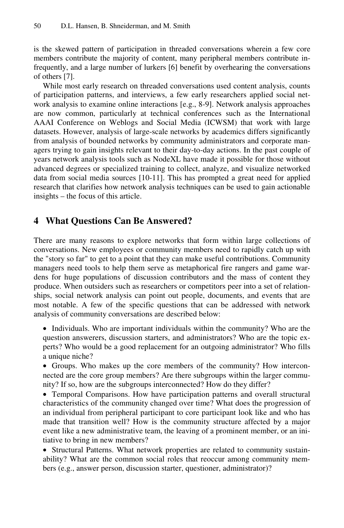is the skewed pattern of participation in threaded conversations wherein a few core members contribute the majority of content, many peripheral members contribute infrequently, and a large number of lurkers [6] benefit by overhearing the conversations of others [7].

While most early research on threaded conversations used content analysis, counts of participation patterns, and interviews, a few early researchers applied social network analysis to examine online interactions [e.g., 8-9]. Network analysis approaches are now common, particularly at technical conferences such as the International AAAI Conference on Weblogs and Social Media (ICWSM) that work with large datasets. However, analysis of large-scale networks by academics differs significantly from analysis of bounded networks by community administrators and corporate managers trying to gain insights relevant to their day-to-day actions. In the past couple of years network analysis tools such as NodeXL have made it possible for those without advanced degrees or specialized training to collect, analyze, and visualize networked data from social media sources [10-11]. This has prompted a great need for applied research that clarifies how network analysis techniques can be used to gain actionable insights – the focus of this article.

# **4 What Questions Can Be Answered?**

There are many reasons to explore networks that form within large collections of conversations. New employees or community members need to rapidly catch up with the "story so far" to get to a point that they can make useful contributions. Community managers need tools to help them serve as metaphorical fire rangers and game wardens for huge populations of discussion contributors and the mass of content they produce. When outsiders such as researchers or competitors peer into a set of relationships, social network analysis can point out people, documents, and events that are most notable. A few of the specific questions that can be addressed with network analysis of community conversations are described below:

• Individuals. Who are important individuals within the community? Who are the question answerers, discussion starters, and administrators? Who are the topic experts? Who would be a good replacement for an outgoing administrator? Who fills a unique niche?

• Groups. Who makes up the core members of the community? How interconnected are the core group members? Are there subgroups within the larger community? If so, how are the subgroups interconnected? How do they differ?

• Temporal Comparisons. How have participation patterns and overall structural characteristics of the community changed over time? What does the progression of an individual from peripheral participant to core participant look like and who has made that transition well? How is the community structure affected by a major event like a new administrative team, the leaving of a prominent member, or an initiative to bring in new members?

• Structural Patterns. What network properties are related to community sustainability? What are the common social roles that reoccur among community members (e.g., answer person, discussion starter, questioner, administrator)?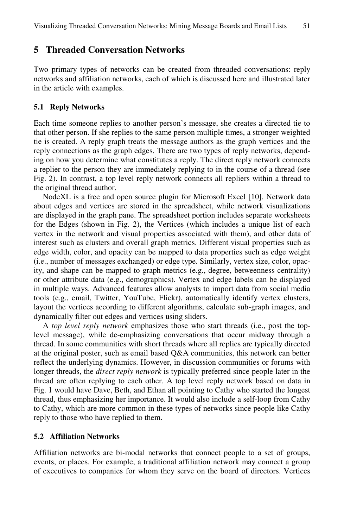# **5 Threaded Conversation Networks**

Two primary types of networks can be created from threaded conversations: reply networks and affiliation networks, each of which is discussed here and illustrated later in the article with examples.

#### **5.1 Reply Networks**

Each time someone replies to another person's message, she creates a directed tie to that other person. If she replies to the same person multiple times, a stronger weighted tie is created. A reply graph treats the message authors as the graph vertices and the reply connections as the graph edges. There are two types of reply networks, depending on how you determine what constitutes a reply. The direct reply network connects a replier to the person they are immediately replying to in the course of a thread (see Fig. 2). In contrast, a top level reply network connects all repliers within a thread to the original thread author.

NodeXL is a free and open source plugin for Microsoft Excel [10]. Network data about edges and vertices are stored in the spreadsheet, while network visualizations are displayed in the graph pane. The spreadsheet portion includes separate worksheets for the Edges (shown in Fig. 2), the Vertices (which includes a unique list of each vertex in the network and visual properties associated with them), and other data of interest such as clusters and overall graph metrics. Different visual properties such as edge width, color, and opacity can be mapped to data properties such as edge weight (i.e., number of messages exchanged) or edge type. Similarly, vertex size, color, opacity, and shape can be mapped to graph metrics (e.g., degree, betweenness centrality) or other attribute data (e.g., demographics). Vertex and edge labels can be displayed in multiple ways. Advanced features allow analysts to import data from social media tools (e.g., email, Twitter, YouTube, Flickr), automatically identify vertex clusters, layout the vertices according to different algorithms, calculate sub-graph images, and dynamically filter out edges and vertices using sliders.

A *top level reply network* emphasizes those who start threads (i.e., post the toplevel message), while de-emphasizing conversations that occur midway through a thread. In some communities with short threads where all replies are typically directed at the original poster, such as email based Q&A communities, this network can better reflect the underlying dynamics. However, in discussion communities or forums with longer threads, the *direct reply network* is typically preferred since people later in the thread are often replying to each other. A top level reply network based on data in Fig. 1 would have Dave, Beth, and Ethan all pointing to Cathy who started the longest thread, thus emphasizing her importance. It would also include a self-loop from Cathy to Cathy, which are more common in these types of networks since people like Cathy reply to those who have replied to them.

#### **5.2 Affiliation Networks**

Affiliation networks are bi-modal networks that connect people to a set of groups, events, or places. For example, a traditional affiliation network may connect a group of executives to companies for whom they serve on the board of directors. Vertices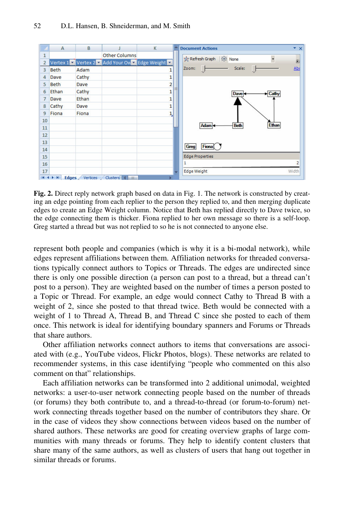

**Fig. 2.** Direct reply network graph based on data in Fig. 1. The network is constructed by creating an edge pointing from each replier to the person they replied to, and then merging duplicate edges to create an Edge Weight column. Notice that Beth has replied directly to Dave twice, so the edge connecting them is thicker. Fiona replied to her own message so there is a self-loop. Greg started a thread but was not replied to so he is not connected to anyone else.

represent both people and companies (which is why it is a bi-modal network), while edges represent affiliations between them. Affiliation networks for threaded conversations typically connect authors to Topics or Threads. The edges are undirected since there is only one possible direction (a person can post to a thread, but a thread can't post to a person). They are weighted based on the number of times a person posted to a Topic or Thread. For example, an edge would connect Cathy to Thread B with a weight of 2, since she posted to that thread twice. Beth would be connected with a weight of 1 to Thread A, Thread B, and Thread C since she posted to each of them once. This network is ideal for identifying boundary spanners and Forums or Threads that share authors.

Other affiliation networks connect authors to items that conversations are associated with (e.g., YouTube videos, Flickr Photos, blogs). These networks are related to recommender systems, in this case identifying "people who commented on this also comment on that" relationships.

Each affiliation networks can be transformed into 2 additional unimodal, weighted networks: a user-to-user network connecting people based on the number of threads (or forums) they both contribute to, and a thread-to-thread (or forum-to-forum) network connecting threads together based on the number of contributors they share. Or in the case of videos they show connections between videos based on the number of shared authors. These networks are good for creating overview graphs of large communities with many threads or forums. They help to identify content clusters that share many of the same authors, as well as clusters of users that hang out together in similar threads or forums.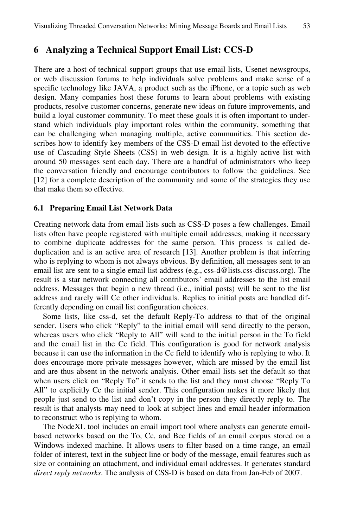# **6 Analyzing a Technical Support Email List: CCS-D**

There are a host of technical support groups that use email lists, Usenet newsgroups, or web discussion forums to help individuals solve problems and make sense of a specific technology like JAVA, a product such as the iPhone, or a topic such as web design. Many companies host these forums to learn about problems with existing products, resolve customer concerns, generate new ideas on future improvements, and build a loyal customer community. To meet these goals it is often important to understand which individuals play important roles within the community, something that can be challenging when managing multiple, active communities. This section describes how to identify key members of the CSS-D email list devoted to the effective use of Cascading Style Sheets (CSS) in web design. It is a highly active list with around 50 messages sent each day. There are a handful of administrators who keep the conversation friendly and encourage contributors to follow the guidelines. See [12] for a complete description of the community and some of the strategies they use that make them so effective.

#### **6.1 Preparing Email List Network Data**

Creating network data from email lists such as CSS-D poses a few challenges. Email lists often have people registered with multiple email addresses, making it necessary to combine duplicate addresses for the same person. This process is called deduplication and is an active area of research [13]. Another problem is that inferring who is replying to whom is not always obvious. By definition, all messages sent to an email list are sent to a single email list address (e.g., css-d@lists.css-discuss.org). The result is a star network connecting all contributors' email addresses to the list email address. Messages that begin a new thread (i.e., initial posts) will be sent to the list address and rarely will Cc other individuals. Replies to initial posts are handled differently depending on email list configuration choices.

Some lists, like css-d, set the default Reply-To address to that of the original sender. Users who click "Reply" to the initial email will send directly to the person, whereas users who click "Reply to All" will send to the initial person in the To field and the email list in the Cc field. This configuration is good for network analysis because it can use the information in the Cc field to identify who is replying to who. It does encourage more private messages however, which are missed by the email list and are thus absent in the network analysis. Other email lists set the default so that when users click on "Reply To" it sends to the list and they must choose "Reply To All" to explicitly Cc the initial sender. This configuration makes it more likely that people just send to the list and don't copy in the person they directly reply to. The result is that analysts may need to look at subject lines and email header information to reconstruct who is replying to whom.

The NodeXL tool includes an email import tool where analysts can generate emailbased networks based on the To, Cc, and Bcc fields of an email corpus stored on a Windows indexed machine. It allows users to filter based on a time range, an email folder of interest, text in the subject line or body of the message, email features such as size or containing an attachment, and individual email addresses. It generates standard *direct reply networks*. The analysis of CSS-D is based on data from Jan-Feb of 2007.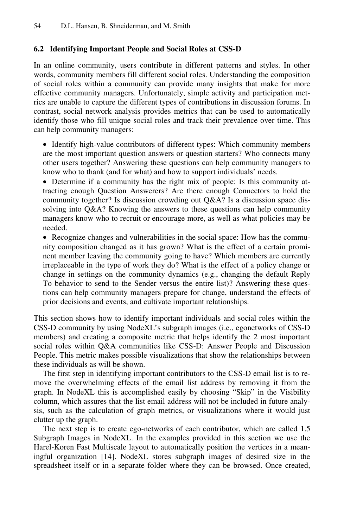#### **6.2 Identifying Important People and Social Roles at CSS-D**

In an online community, users contribute in different patterns and styles. In other words, community members fill different social roles. Understanding the composition of social roles within a community can provide many insights that make for more effective community managers. Unfortunately, simple activity and participation metrics are unable to capture the different types of contributions in discussion forums. In contrast, social network analysis provides metrics that can be used to automatically identify those who fill unique social roles and track their prevalence over time. This can help community managers:

• Identify high-value contributors of different types: Which community members are the most important question answers or question starters? Who connects many other users together? Answering these questions can help community managers to know who to thank (and for what) and how to support individuals' needs.

• Determine if a community has the right mix of people: Is this community attracting enough Question Answerers? Are there enough Connectors to hold the community together? Is discussion crowding out Q&A? Is a discussion space dissolving into Q&A? Knowing the answers to these questions can help community managers know who to recruit or encourage more, as well as what policies may be needed.

• Recognize changes and vulnerabilities in the social space: How has the community composition changed as it has grown? What is the effect of a certain prominent member leaving the community going to have? Which members are currently irreplaceable in the type of work they do? What is the effect of a policy change or change in settings on the community dynamics (e.g., changing the default Reply To behavior to send to the Sender versus the entire list)? Answering these questions can help community managers prepare for change, understand the effects of prior decisions and events, and cultivate important relationships.

This section shows how to identify important individuals and social roles within the CSS-D community by using NodeXL's subgraph images (i.e., egonetworks of CSS-D members) and creating a composite metric that helps identify the 2 most important social roles within Q&A communities like CSS-D: Answer People and Discussion People. This metric makes possible visualizations that show the relationships between these individuals as will be shown.

The first step in identifying important contributors to the CSS-D email list is to remove the overwhelming effects of the email list address by removing it from the graph. In NodeXL this is accomplished easily by choosing "Skip" in the Visibility column, which assures that the list email address will not be included in future analysis, such as the calculation of graph metrics, or visualizations where it would just clutter up the graph.

The next step is to create ego-networks of each contributor, which are called 1.5 Subgraph Images in NodeXL. In the examples provided in this section we use the Harel-Koren Fast Multiscale layout to automatically position the vertices in a meaningful organization [14]. NodeXL stores subgraph images of desired size in the spreadsheet itself or in a separate folder where they can be browsed. Once created,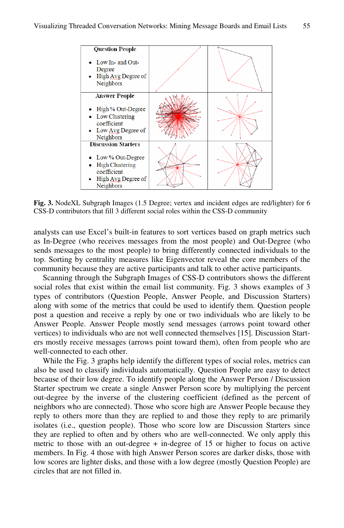

**Fig. 3.** NodeXL Subgraph Images (1.5 Degree; vertex and incident edges are red/lighter) for 6 CSS-D contributors that fill 3 different social roles within the CSS-D community

analysts can use Excel's built-in features to sort vertices based on graph metrics such as In-Degree (who receives messages from the most people) and Out-Degree (who sends messages to the most people) to bring differently connected individuals to the top. Sorting by centrality measures like Eigenvector reveal the core members of the community because they are active participants and talk to other active participants.

Scanning through the Subgraph Images of CSS-D contributors shows the different social roles that exist within the email list community. Fig. 3 shows examples of 3 types of contributors (Question People, Answer People, and Discussion Starters) along with some of the metrics that could be used to identify them. Question people post a question and receive a reply by one or two individuals who are likely to be Answer People. Answer People mostly send messages (arrows point toward other vertices) to individuals who are not well connected themselves [15]. Discussion Starters mostly receive messages (arrows point toward them), often from people who are well-connected to each other.

While the Fig. 3 graphs help identify the different types of social roles, metrics can also be used to classify individuals automatically. Question People are easy to detect because of their low degree. To identify people along the Answer Person / Discussion Starter spectrum we create a single Answer Person score by multiplying the percent out-degree by the inverse of the clustering coefficient (defined as the percent of neighbors who are connected). Those who score high are Answer People because they reply to others more than they are replied to and those they reply to are primarily isolates (i.e., question people). Those who score low are Discussion Starters since they are replied to often and by others who are well-connected. We only apply this metric to those with an out-degree + in-degree of 15 or higher to focus on active members. In Fig. 4 those with high Answer Person scores are darker disks, those with low scores are lighter disks, and those with a low degree (mostly Question People) are circles that are not filled in.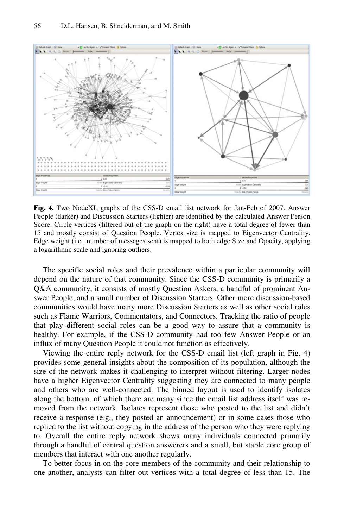

**Fig. 4.** Two NodeXL graphs of the CSS-D email list network for Jan-Feb of 2007. Answer People (darker) and Discussion Starters (lighter) are identified by the calculated Answer Person Score. Circle vertices (filtered out of the graph on the right) have a total degree of fewer than 15 and mostly consist of Question People. Vertex size is mapped to Eigenvector Centrality. Edge weight (i.e., number of messages sent) is mapped to both edge Size and Opacity, applying a logarithmic scale and ignoring outliers.

The specific social roles and their prevalence within a particular community will depend on the nature of that community. Since the CSS-D community is primarily a Q&A community, it consists of mostly Question Askers, a handful of prominent Answer People, and a small number of Discussion Starters. Other more discussion-based communities would have many more Discussion Starters as well as other social roles such as Flame Warriors, Commentators, and Connectors. Tracking the ratio of people that play different social roles can be a good way to assure that a community is healthy. For example, if the CSS-D community had too few Answer People or an influx of many Question People it could not function as effectively.

Viewing the entire reply network for the CSS-D email list (left graph in Fig. 4) provides some general insights about the composition of its population, although the size of the network makes it challenging to interpret without filtering. Larger nodes have a higher Eigenvector Centrality suggesting they are connected to many people and others who are well-connected. The binned layout is used to identify isolates along the bottom, of which there are many since the email list address itself was removed from the network. Isolates represent those who posted to the list and didn't receive a response (e.g., they posted an announcement) or in some cases those who replied to the list without copying in the address of the person who they were replying to. Overall the entire reply network shows many individuals connected primarily through a handful of central question answerers and a small, but stable core group of members that interact with one another regularly.

To better focus in on the core members of the community and their relationship to one another, analysts can filter out vertices with a total degree of less than 15. The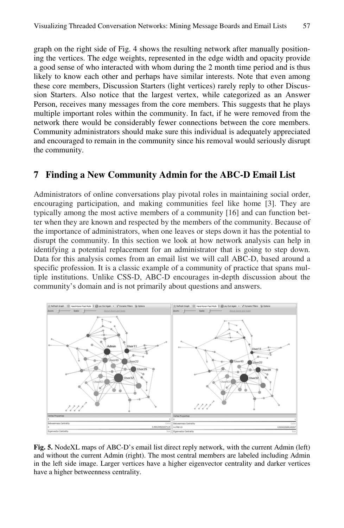graph on the right side of Fig. 4 shows the resulting network after manually positioning the vertices. The edge weights, represented in the edge width and opacity provide a good sense of who interacted with whom during the 2 month time period and is thus likely to know each other and perhaps have similar interests. Note that even among these core members, Discussion Starters (light vertices) rarely reply to other Discussion Starters. Also notice that the largest vertex, while categorized as an Answer Person, receives many messages from the core members. This suggests that he plays multiple important roles within the community. In fact, if he were removed from the network there would be considerably fewer connections between the core members. Community administrators should make sure this individual is adequately appreciated and encouraged to remain in the community since his removal would seriously disrupt the community.

# **7 Finding a New Community Admin for the ABC-D Email List**

Administrators of online conversations play pivotal roles in maintaining social order, encouraging participation, and making communities feel like home [3]. They are typically among the most active members of a community [16] and can function better when they are known and respected by the members of the community. Because of the importance of administrators, when one leaves or steps down it has the potential to disrupt the community. In this section we look at how network analysis can help in identifying a potential replacement for an administrator that is going to step down. Data for this analysis comes from an email list we will call ABC-D, based around a specific profession. It is a classic example of a community of practice that spans multiple institutions. Unlike CSS-D, ABC-D encourages in-depth discussion about the community's domain and is not primarily about questions and answers.



**Fig. 5.** NodeXL maps of ABC-D's email list direct reply network, with the current Admin (left) and without the current Admin (right). The most central members are labeled including Admin in the left side image. Larger vertices have a higher eigenvector centrality and darker vertices have a higher betweenness centrality.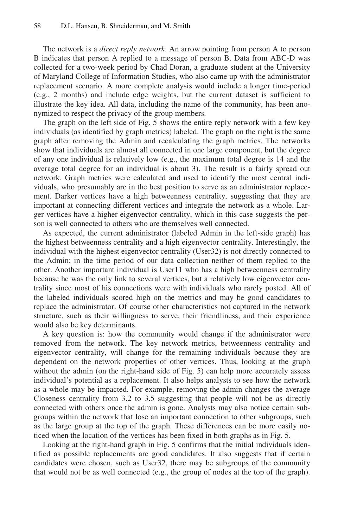The network is a *direct reply network*. An arrow pointing from person A to person B indicates that person A replied to a message of person B. Data from ABC-D was collected for a two-week period by Chad Doran, a graduate student at the University of Maryland College of Information Studies, who also came up with the administrator replacement scenario. A more complete analysis would include a longer time-period (e.g., 2 months) and include edge weights, but the current dataset is sufficient to illustrate the key idea. All data, including the name of the community, has been anonymized to respect the privacy of the group members.

The graph on the left side of Fig. 5 shows the entire reply network with a few key individuals (as identified by graph metrics) labeled. The graph on the right is the same graph after removing the Admin and recalculating the graph metrics. The networks show that individuals are almost all connected in one large component, but the degree of any one individual is relatively low (e.g., the maximum total degree is 14 and the average total degree for an individual is about 3). The result is a fairly spread out network. Graph metrics were calculated and used to identify the most central individuals, who presumably are in the best position to serve as an administrator replacement. Darker vertices have a high betweenness centrality, suggesting that they are important at connecting different vertices and integrate the network as a whole. Larger vertices have a higher eigenvector centrality, which in this case suggests the person is well connected to others who are themselves well connected.

As expected, the current administrator (labeled Admin in the left-side graph) has the highest betweenness centrality and a high eigenvector centrality. Interestingly, the individual with the highest eigenvector centrality (User32) is not directly connected to the Admin; in the time period of our data collection neither of them replied to the other. Another important individual is User11 who has a high betweenness centrality because he was the only link to several vertices, but a relatively low eigenvector centrality since most of his connections were with individuals who rarely posted. All of the labeled individuals scored high on the metrics and may be good candidates to replace the administrator. Of course other characteristics not captured in the network structure, such as their willingness to serve, their friendliness, and their experience would also be key determinants.

A key question is: how the community would change if the administrator were removed from the network. The key network metrics, betweenness centrality and eigenvector centrality, will change for the remaining individuals because they are dependent on the network properties of other vertices. Thus, looking at the graph without the admin (on the right-hand side of Fig. 5) can help more accurately assess individual's potential as a replacement. It also helps analysts to see how the network as a whole may be impacted. For example, removing the admin changes the average Closeness centrality from 3.2 to 3.5 suggesting that people will not be as directly connected with others once the admin is gone. Analysts may also notice certain subgroups within the network that lose an important connection to other subgroups, such as the large group at the top of the graph. These differences can be more easily noticed when the location of the vertices has been fixed in both graphs as in Fig. 5.

Looking at the right-hand graph in Fig. 5 confirms that the initial individuals identified as possible replacements are good candidates. It also suggests that if certain candidates were chosen, such as User32, there may be subgroups of the community that would not be as well connected (e.g., the group of nodes at the top of the graph).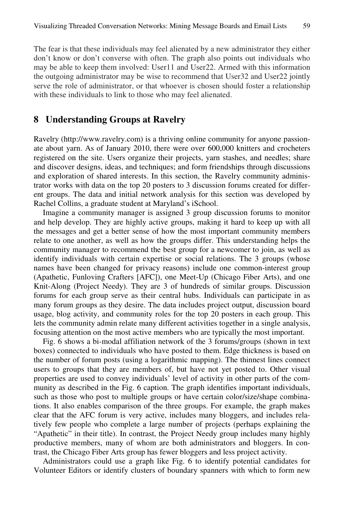The fear is that these individuals may feel alienated by a new administrator they either don't know or don't converse with often. The graph also points out individuals who may be able to keep them involved: User11 and User22. Armed with this information the outgoing administrator may be wise to recommend that User32 and User22 jointly serve the role of administrator, or that whoever is chosen should foster a relationship with these individuals to link to those who may feel alienated.

## **8 Understanding Groups at Ravelry**

Ravelry (http://www.ravelry.com) is a thriving online community for anyone passionate about yarn. As of January 2010, there were over 600,000 knitters and crocheters registered on the site. Users organize their projects, yarn stashes, and needles; share and discover designs, ideas, and techniques; and form friendships through discussions and exploration of shared interests. In this section, the Ravelry community administrator works with data on the top 20 posters to 3 discussion forums created for different groups. The data and initial network analysis for this section was developed by Rachel Collins, a graduate student at Maryland's iSchool.

Imagine a community manager is assigned 3 group discussion forums to monitor and help develop. They are highly active groups, making it hard to keep up with all the messages and get a better sense of how the most important community members relate to one another, as well as how the groups differ. This understanding helps the community manager to recommend the best group for a newcomer to join, as well as identify individuals with certain expertise or social relations. The 3 groups (whose names have been changed for privacy reasons) include one common-interest group (Apathetic, Funloving Crafters [AFC]), one Meet-Up (Chicago Fiber Arts), and one Knit-Along (Project Needy). They are 3 of hundreds of similar groups. Discussion forums for each group serve as their central hubs. Individuals can participate in as many forum groups as they desire. The data includes project output, discussion board usage, blog activity, and community roles for the top 20 posters in each group. This lets the community admin relate many different activities together in a single analysis, focusing attention on the most active members who are typically the most important.

Fig. 6 shows a bi-modal affiliation network of the 3 forums/groups (shown in text boxes) connected to individuals who have posted to them. Edge thickness is based on the number of forum posts (using a logarithmic mapping). The thinnest lines connect users to groups that they are members of, but have not yet posted to. Other visual properties are used to convey individuals' level of activity in other parts of the community as described in the Fig. 6 caption. The graph identifies important individuals, such as those who post to multiple groups or have certain color/size/shape combinations. It also enables comparison of the three groups. For example, the graph makes clear that the AFC forum is very active, includes many bloggers, and includes relatively few people who complete a large number of projects (perhaps explaining the "Apathetic" in their title). In contrast, the Project Needy group includes many highly productive members, many of whom are both administrators and bloggers. In contrast, the Chicago Fiber Arts group has fewer bloggers and less project activity.

Administrators could use a graph like Fig. 6 to identify potential candidates for Volunteer Editors or identify clusters of boundary spanners with which to form new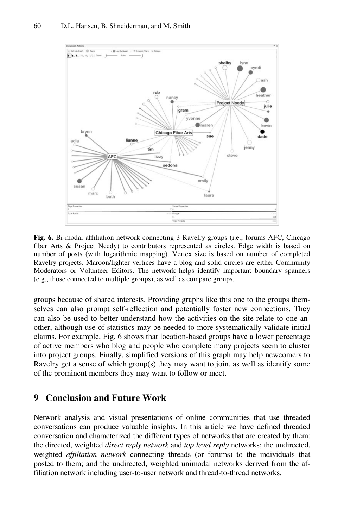

**Fig. 6.** Bi-modal affiliation network connecting 3 Ravelry groups (i.e., forums AFC, Chicago fiber Arts & Project Needy) to contributors represented as circles. Edge width is based on number of posts (with logarithmic mapping). Vertex size is based on number of completed Ravelry projects. Maroon/lighter vertices have a blog and solid circles are either Community Moderators or Volunteer Editors. The network helps identify important boundary spanners (e.g., those connected to multiple groups), as well as compare groups.

groups because of shared interests. Providing graphs like this one to the groups themselves can also prompt self-reflection and potentially foster new connections. They can also be used to better understand how the activities on the site relate to one another, although use of statistics may be needed to more systematically validate initial claims. For example, Fig. 6 shows that location-based groups have a lower percentage of active members who blog and people who complete many projects seem to cluster into project groups. Finally, simplified versions of this graph may help newcomers to Ravelry get a sense of which group(s) they may want to join, as well as identify some of the prominent members they may want to follow or meet.

# **9 Conclusion and Future Work**

Network analysis and visual presentations of online communities that use threaded conversations can produce valuable insights. In this article we have defined threaded conversation and characterized the different types of networks that are created by them: the directed, weighted *direct reply network* and *top level reply* networks; the undirected, weighted *affiliation network* connecting threads (or forums) to the individuals that posted to them; and the undirected, weighted unimodal networks derived from the affiliation network including user-to-user network and thread-to-thread networks.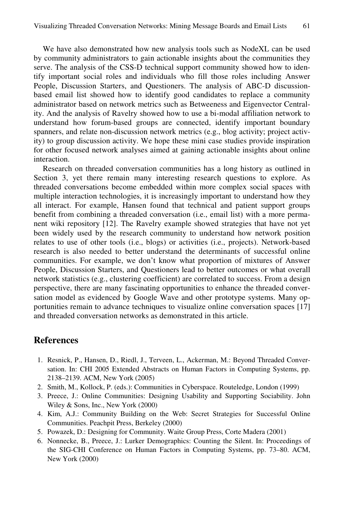We have also demonstrated how new analysis tools such as NodeXL can be used by community administrators to gain actionable insights about the communities they serve. The analysis of the CSS-D technical support community showed how to identify important social roles and individuals who fill those roles including Answer People, Discussion Starters, and Questioners. The analysis of ABC-D discussionbased email list showed how to identify good candidates to replace a community administrator based on network metrics such as Betweeness and Eigenvector Centrality. And the analysis of Ravelry showed how to use a bi-modal affiliation network to understand how forum-based groups are connected, identify important boundary spanners, and relate non-discussion network metrics (e.g., blog activity; project activity) to group discussion activity. We hope these mini case studies provide inspiration for other focused network analyses aimed at gaining actionable insights about online interaction.

Research on threaded conversation communities has a long history as outlined in Section 3, yet there remain many interesting research questions to explore. As threaded conversations become embedded within more complex social spaces with multiple interaction technologies, it is increasingly important to understand how they all interact. For example, Hansen found that technical and patient support groups benefit from combining a threaded conversation (i.e., email list) with a more permanent wiki repository [12]. The Ravelry example showed strategies that have not yet been widely used by the research community to understand how network position relates to use of other tools (i.e., blogs) or activities (i.e., projects). Network-based research is also needed to better understand the determinants of successful online communities. For example, we don't know what proportion of mixtures of Answer People, Discussion Starters, and Questioners lead to better outcomes or what overall network statistics (e.g., clustering coefficient) are correlated to success. From a design perspective, there are many fascinating opportunities to enhance the threaded conversation model as evidenced by Google Wave and other prototype systems. Many opportunities remain to advance techniques to visualize online conversation spaces [17] and threaded conversation networks as demonstrated in this article.

## **References**

- 1. Resnick, P., Hansen, D., Riedl, J., Terveen, L., Ackerman, M.: Beyond Threaded Conversation. In: CHI 2005 Extended Abstracts on Human Factors in Computing Systems, pp. 2138–2139. ACM, New York (2005)
- 2. Smith, M., Kollock, P. (eds.): Communities in Cyberspace. Routeledge, London (1999)
- 3. Preece, J.: Online Communities: Designing Usability and Supporting Sociability. John Wiley & Sons, Inc., New York (2000)
- 4. Kim, A.J.: Community Building on the Web: Secret Strategies for Successful Online Communities. Peachpit Press, Berkeley (2000)
- 5. Powazek, D.: Designing for Community. Waite Group Press, Corte Madera (2001)
- 6. Nonnecke, B., Preece, J.: Lurker Demographics: Counting the Silent. In: Proceedings of the SIG-CHI Conference on Human Factors in Computing Systems, pp. 73–80. ACM, New York (2000)